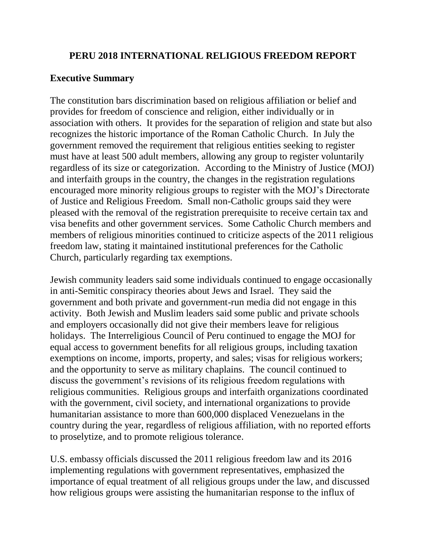# **PERU 2018 INTERNATIONAL RELIGIOUS FREEDOM REPORT**

# **Executive Summary**

The constitution bars discrimination based on religious affiliation or belief and provides for freedom of conscience and religion, either individually or in association with others. It provides for the separation of religion and state but also recognizes the historic importance of the Roman Catholic Church. In July the government removed the requirement that religious entities seeking to register must have at least 500 adult members, allowing any group to register voluntarily regardless of its size or categorization. According to the Ministry of Justice (MOJ) and interfaith groups in the country, the changes in the registration regulations encouraged more minority religious groups to register with the MOJ's Directorate of Justice and Religious Freedom. Small non-Catholic groups said they were pleased with the removal of the registration prerequisite to receive certain tax and visa benefits and other government services. Some Catholic Church members and members of religious minorities continued to criticize aspects of the 2011 religious freedom law, stating it maintained institutional preferences for the Catholic Church, particularly regarding tax exemptions.

Jewish community leaders said some individuals continued to engage occasionally in anti-Semitic conspiracy theories about Jews and Israel. They said the government and both private and government-run media did not engage in this activity. Both Jewish and Muslim leaders said some public and private schools and employers occasionally did not give their members leave for religious holidays. The Interreligious Council of Peru continued to engage the MOJ for equal access to government benefits for all religious groups, including taxation exemptions on income, imports, property, and sales; visas for religious workers; and the opportunity to serve as military chaplains. The council continued to discuss the government's revisions of its religious freedom regulations with religious communities. Religious groups and interfaith organizations coordinated with the government, civil society, and international organizations to provide humanitarian assistance to more than 600,000 displaced Venezuelans in the country during the year, regardless of religious affiliation, with no reported efforts to proselytize, and to promote religious tolerance.

U.S. embassy officials discussed the 2011 religious freedom law and its 2016 implementing regulations with government representatives, emphasized the importance of equal treatment of all religious groups under the law, and discussed how religious groups were assisting the humanitarian response to the influx of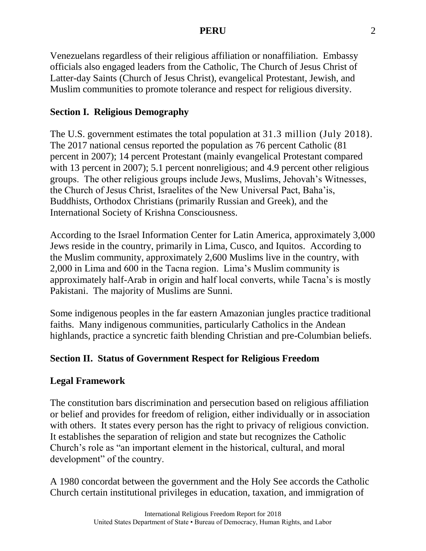Venezuelans regardless of their religious affiliation or nonaffiliation. Embassy officials also engaged leaders from the Catholic, The Church of Jesus Christ of Latter-day Saints (Church of Jesus Christ), evangelical Protestant, Jewish, and Muslim communities to promote tolerance and respect for religious diversity.

# **Section I. Religious Demography**

The U.S. government estimates the total population at 31.3 million (July 2018). The 2017 national census reported the population as 76 percent Catholic (81 percent in 2007); 14 percent Protestant (mainly evangelical Protestant compared with 13 percent in 2007); 5.1 percent nonreligious; and 4.9 percent other religious groups. The other religious groups include Jews, Muslims, Jehovah's Witnesses, the Church of Jesus Christ, Israelites of the New Universal Pact, Baha'is, Buddhists, Orthodox Christians (primarily Russian and Greek), and the International Society of Krishna Consciousness.

According to the Israel Information Center for Latin America, approximately 3,000 Jews reside in the country, primarily in Lima, Cusco, and Iquitos. According to the Muslim community, approximately 2,600 Muslims live in the country, with 2,000 in Lima and 600 in the Tacna region. Lima's Muslim community is approximately half-Arab in origin and half local converts, while Tacna's is mostly Pakistani. The majority of Muslims are Sunni.

Some indigenous peoples in the far eastern Amazonian jungles practice traditional faiths. Many indigenous communities, particularly Catholics in the Andean highlands, practice a syncretic faith blending Christian and pre-Columbian beliefs.

# **Section II. Status of Government Respect for Religious Freedom**

# **Legal Framework**

The constitution bars discrimination and persecution based on religious affiliation or belief and provides for freedom of religion, either individually or in association with others. It states every person has the right to privacy of religious conviction. It establishes the separation of religion and state but recognizes the Catholic Church's role as "an important element in the historical, cultural, and moral development" of the country.

A 1980 concordat between the government and the Holy See accords the Catholic Church certain institutional privileges in education, taxation, and immigration of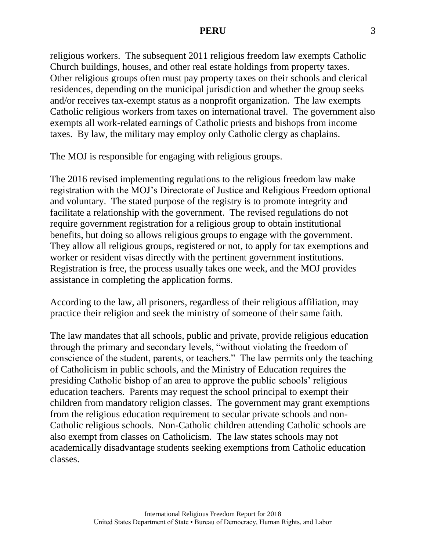religious workers. The subsequent 2011 religious freedom law exempts Catholic Church buildings, houses, and other real estate holdings from property taxes. Other religious groups often must pay property taxes on their schools and clerical residences, depending on the municipal jurisdiction and whether the group seeks and/or receives tax-exempt status as a nonprofit organization. The law exempts Catholic religious workers from taxes on international travel. The government also exempts all work-related earnings of Catholic priests and bishops from income taxes. By law, the military may employ only Catholic clergy as chaplains.

The MOJ is responsible for engaging with religious groups.

The 2016 revised implementing regulations to the religious freedom law make registration with the MOJ's Directorate of Justice and Religious Freedom optional and voluntary. The stated purpose of the registry is to promote integrity and facilitate a relationship with the government. The revised regulations do not require government registration for a religious group to obtain institutional benefits, but doing so allows religious groups to engage with the government. They allow all religious groups, registered or not, to apply for tax exemptions and worker or resident visas directly with the pertinent government institutions. Registration is free, the process usually takes one week, and the MOJ provides assistance in completing the application forms.

According to the law, all prisoners, regardless of their religious affiliation, may practice their religion and seek the ministry of someone of their same faith.

The law mandates that all schools, public and private, provide religious education through the primary and secondary levels, "without violating the freedom of conscience of the student, parents, or teachers." The law permits only the teaching of Catholicism in public schools, and the Ministry of Education requires the presiding Catholic bishop of an area to approve the public schools' religious education teachers. Parents may request the school principal to exempt their children from mandatory religion classes. The government may grant exemptions from the religious education requirement to secular private schools and non-Catholic religious schools. Non-Catholic children attending Catholic schools are also exempt from classes on Catholicism. The law states schools may not academically disadvantage students seeking exemptions from Catholic education classes.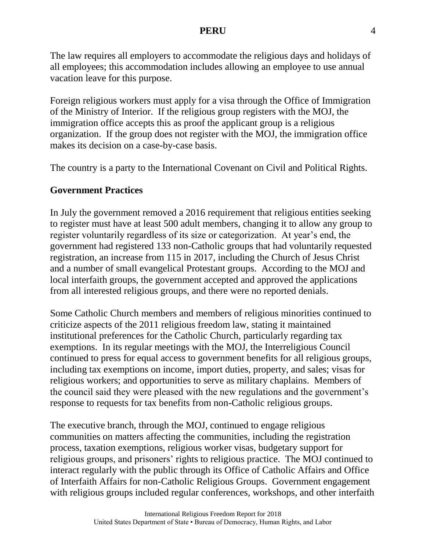The law requires all employers to accommodate the religious days and holidays of all employees; this accommodation includes allowing an employee to use annual vacation leave for this purpose.

Foreign religious workers must apply for a visa through the Office of Immigration of the Ministry of Interior. If the religious group registers with the MOJ, the immigration office accepts this as proof the applicant group is a religious organization. If the group does not register with the MOJ, the immigration office makes its decision on a case-by-case basis.

The country is a party to the International Covenant on Civil and Political Rights.

#### **Government Practices**

In July the government removed a 2016 requirement that religious entities seeking to register must have at least 500 adult members, changing it to allow any group to register voluntarily regardless of its size or categorization. At year's end, the government had registered 133 non-Catholic groups that had voluntarily requested registration, an increase from 115 in 2017, including the Church of Jesus Christ and a number of small evangelical Protestant groups. According to the MOJ and local interfaith groups, the government accepted and approved the applications from all interested religious groups, and there were no reported denials.

Some Catholic Church members and members of religious minorities continued to criticize aspects of the 2011 religious freedom law, stating it maintained institutional preferences for the Catholic Church, particularly regarding tax exemptions. In its regular meetings with the MOJ, the Interreligious Council continued to press for equal access to government benefits for all religious groups, including tax exemptions on income, import duties, property, and sales; visas for religious workers; and opportunities to serve as military chaplains. Members of the council said they were pleased with the new regulations and the government's response to requests for tax benefits from non-Catholic religious groups.

The executive branch, through the MOJ, continued to engage religious communities on matters affecting the communities, including the registration process, taxation exemptions, religious worker visas, budgetary support for religious groups, and prisoners' rights to religious practice. The MOJ continued to interact regularly with the public through its Office of Catholic Affairs and Office of Interfaith Affairs for non-Catholic Religious Groups. Government engagement with religious groups included regular conferences, workshops, and other interfaith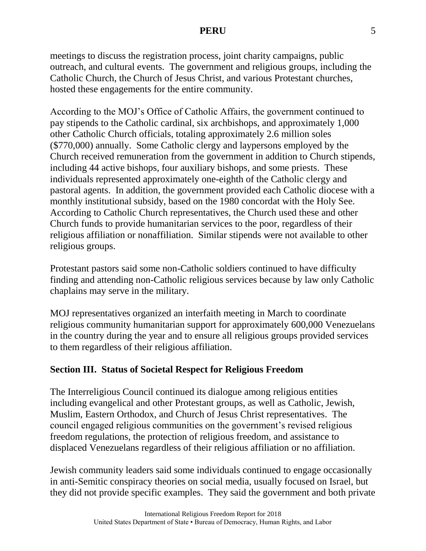meetings to discuss the registration process, joint charity campaigns, public outreach, and cultural events. The government and religious groups, including the Catholic Church, the Church of Jesus Christ, and various Protestant churches, hosted these engagements for the entire community.

According to the MOJ's Office of Catholic Affairs, the government continued to pay stipends to the Catholic cardinal, six archbishops, and approximately 1,000 other Catholic Church officials, totaling approximately 2.6 million soles (\$770,000) annually. Some Catholic clergy and laypersons employed by the Church received remuneration from the government in addition to Church stipends, including 44 active bishops, four auxiliary bishops, and some priests. These individuals represented approximately one-eighth of the Catholic clergy and pastoral agents. In addition, the government provided each Catholic diocese with a monthly institutional subsidy, based on the 1980 concordat with the Holy See. According to Catholic Church representatives, the Church used these and other Church funds to provide humanitarian services to the poor, regardless of their religious affiliation or nonaffiliation. Similar stipends were not available to other religious groups.

Protestant pastors said some non-Catholic soldiers continued to have difficulty finding and attending non-Catholic religious services because by law only Catholic chaplains may serve in the military.

MOJ representatives organized an interfaith meeting in March to coordinate religious community humanitarian support for approximately 600,000 Venezuelans in the country during the year and to ensure all religious groups provided services to them regardless of their religious affiliation.

# **Section III. Status of Societal Respect for Religious Freedom**

The Interreligious Council continued its dialogue among religious entities including evangelical and other Protestant groups, as well as Catholic, Jewish, Muslim, Eastern Orthodox, and Church of Jesus Christ representatives. The council engaged religious communities on the government's revised religious freedom regulations, the protection of religious freedom, and assistance to displaced Venezuelans regardless of their religious affiliation or no affiliation.

Jewish community leaders said some individuals continued to engage occasionally in anti-Semitic conspiracy theories on social media, usually focused on Israel, but they did not provide specific examples. They said the government and both private